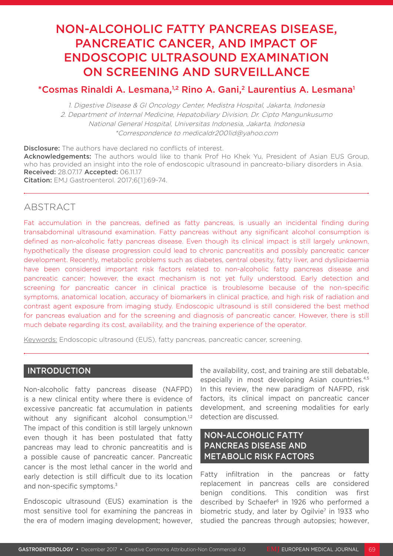# NON-ALCOHOLIC FATTY PANCREAS DISEASE, PANCREATIC CANCER, AND IMPACT OF ENDOSCOPIC ULTRASOUND EXAMINATION ON SCREENING AND SURVEILLANCE

# \*Cosmas Rinaldi A. Lesmana,<sup>1,2</sup> Rino A. Gani,<sup>2</sup> Laurentius A. Lesmana<sup>1</sup>

1. Digestive Disease & GI Oncology Center, Medistra Hospital, Jakarta, Indonesia 2. Department of Internal Medicine, Hepatobiliary Division, Dr. Cipto Mangunkusumo National General Hospital, Universitas Indonesia, Jakarta, Indonesia \*Correspondence to medicaldr2001id@yahoo.com

**Disclosure:** The authors have declared no conflicts of interest. Acknowledgements: The authors would like to thank Prof Ho Khek Yu, President of Asian EUS Group, who has provided an insight into the role of endoscopic ultrasound in pancreato-biliary disorders in Asia. Received: 28.07.17 Accepted: 06.11.17 Citation: EMJ Gastroenterol. 2017;6[1]:69-74.

# **ABSTRACT**

Fat accumulation in the pancreas, defined as fatty pancreas, is usually an incidental finding during transabdominal ultrasound examination. Fatty pancreas without any significant alcohol consumption is defined as non-alcoholic fatty pancreas disease. Even though its clinical impact is still largely unknown, hypothetically the disease progression could lead to chronic pancreatitis and possibly pancreatic cancer development. Recently, metabolic problems such as diabetes, central obesity, fatty liver, and dyslipidaemia have been considered important risk factors related to non-alcoholic fatty pancreas disease and pancreatic cancer; however, the exact mechanism is not yet fully understood. Early detection and screening for pancreatic cancer in clinical practice is troublesome because of the non-specific symptoms, anatomical location, accuracy of biomarkers in clinical practice, and high risk of radiation and contrast agent exposure from imaging study. Endoscopic ultrasound is still considered the best method for pancreas evaluation and for the screening and diagnosis of pancreatic cancer. However, there is still much debate regarding its cost, availability, and the training experience of the operator.

Keywords: Endoscopic ultrasound (EUS), fatty pancreas, pancreatic cancer, screening.

#### INTRODUCTION

Non-alcoholic fatty pancreas disease (NAFPD) is a new clinical entity where there is evidence of excessive pancreatic fat accumulation in patients without any significant alcohol consumption.<sup>1,2</sup> The impact of this condition is still largely unknown even though it has been postulated that fatty pancreas may lead to chronic pancreatitis and is a possible cause of pancreatic cancer. Pancreatic cancer is the most lethal cancer in the world and early detection is still difficult due to its location and non-specific symptoms.<sup>3</sup>

Endoscopic ultrasound (EUS) examination is the most sensitive tool for examining the pancreas in the era of modern imaging development; however, the availability, cost, and training are still debatable, especially in most developing Asian countries.4,5 In this review, the new paradigm of NAFPD, risk factors, its clinical impact on pancreatic cancer development, and screening modalities for early detection are discussed.

# NON-ALCOHOLIC FATTY PANCREAS DISEASE AND METABOLIC RISK FACTORS

Fatty infiltration in the pancreas or fatty replacement in pancreas cells are considered benign conditions. This condition was first described by Schaefer<sup>6</sup> in 1926 who performed a biometric study, and later by Ogilvie<sup>7</sup> in 1933 who studied the pancreas through autopsies; however,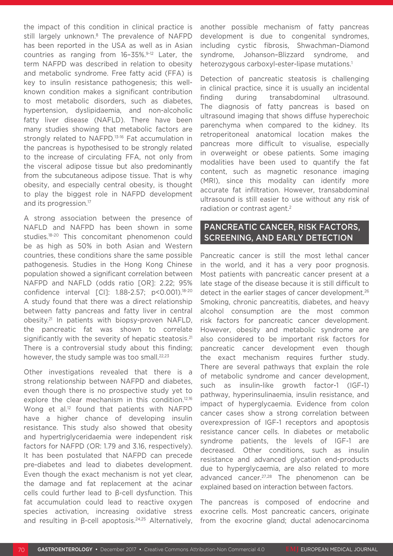the impact of this condition in clinical practice is still largely unknown.<sup>8</sup> The prevalence of NAFPD has been reported in the USA as well as in Asian countries as ranging from 16–35%.9-12 Later, the term NAFPD was described in relation to obesity and metabolic syndrome. Free fatty acid (FFA) is key to insulin resistance pathogenesis; this wellknown condition makes a significant contribution to most metabolic disorders, such as diabetes, hypertension, dyslipidaemia, and non-alcoholic fatty liver disease (NAFLD). There have been many studies showing that metabolic factors are strongly related to NAFPD.<sup>13-16</sup> Fat accumulation in the pancreas is hypothesised to be strongly related to the increase of circulating FFA, not only from the visceral adipose tissue but also predominantly from the subcutaneous adipose tissue. That is why obesity, and especially central obesity, is thought to play the biggest role in NAFPD development and its progression.<sup>17</sup>

A strong association between the presence of NAFLD and NAFPD has been shown in some studies.18-20 This concomitant phenomenon could be as high as 50% in both Asian and Western countries, these conditions share the same possible pathogenesis. Studies in the Hong Kong Chinese population showed a significant correlation between NAFPD and NAFLD (odds ratio [OR]: 2.22; 95% confidence interval [CI]: 1.88-2.57; p<0.001).18-20 A study found that there was a direct relationship between fatty pancreas and fatty liver in central obesity.21 In patients with biopsy-proven NAFLD, the pancreatic fat was shown to correlate significantly with the severity of hepatic steatosis.<sup>21</sup> There is a controversial study about this finding; however, the study sample was too small.<sup>22,23</sup>

Other investigations revealed that there is a strong relationship between NAFPD and diabetes, even though there is no prospective study yet to explore the clear mechanism in this condition.<sup>12,16</sup> Wong et al.<sup>12</sup> found that patients with NAFPD have a higher chance of developing insulin resistance. This study also showed that obesity and hypertriglyceridaemia were independent risk factors for NAFPD (OR: 1.79 and 3.16, respectively). It has been postulated that NAFPD can precede pre-diabetes and lead to diabetes development. Even though the exact mechanism is not yet clear, the damage and fat replacement at the acinar cells could further lead to β-cell dysfunction. This fat accumulation could lead to reactive oxygen species activation, increasing oxidative stress and resulting in β-cell apoptosis.<sup>24,25</sup> Alternatively,

another possible mechanism of fatty pancreas development is due to congenital syndromes, including cystic fibrosis, Shwachman–Diamond syndrome, Johanson–Blizzard syndrome, and heterozygous carboxyl-ester-lipase mutations.<sup>1</sup>

Detection of pancreatic steatosis is challenging in clinical practice, since it is usually an incidental finding during transabdominal ultrasound. The diagnosis of fatty pancreas is based on ultrasound imaging that shows diffuse hyperechoic parenchyma when compared to the kidney. Its retroperitoneal anatomical location makes the pancreas more difficult to visualise, especially in overweight or obese patients. Some imaging modalities have been used to quantify the fat content, such as magnetic resonance imaging (MRI), since this modality can identify more accurate fat infiltration. However, transabdominal ultrasound is still easier to use without any risk of radiation or contrast agent.<sup>2</sup>

#### PANCREATIC CANCER, RISK FACTORS, SCREENING, AND EARLY DETECTION

Pancreatic cancer is still the most lethal cancer in the world, and it has a very poor prognosis. Most patients with pancreatic cancer present at a late stage of the disease because it is still difficult to detect in the earlier stages of cancer development.<sup>26</sup> Smoking, chronic pancreatitis, diabetes, and heavy alcohol consumption are the most common risk factors for pancreatic cancer development. However, obesity and metabolic syndrome are also considered to be important risk factors for pancreatic cancer development even though the exact mechanism requires further study. There are several pathways that explain the role of metabolic syndrome and cancer development, such as insulin-like growth factor-1 (IGF-1) pathway, hyperinsulinaemia, insulin resistance, and impact of hyperglycaemia. Evidence from colon cancer cases show a strong correlation between overexpression of IGF-1 receptors and apoptosis resistance cancer cells. In diabetes or metabolic syndrome patients, the levels of IGF-1 are decreased. Other conditions, such as insulin resistance and advanced glycation end-products due to hyperglycaemia, are also related to more advanced cancer.<sup>27,28</sup> The phenomenon can be explained based on interaction between factors.

The pancreas is composed of endocrine and exocrine cells. Most pancreatic cancers, originate from the exocrine gland; ductal adenocarcinoma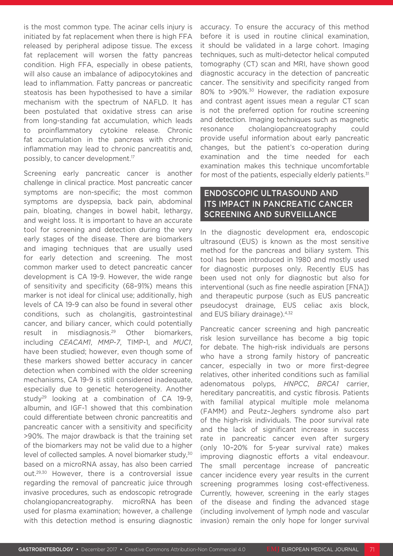is the most common type. The acinar cells injury is initiated by fat replacement when there is high FFA released by peripheral adipose tissue. The excess fat replacement will worsen the fatty pancreas condition. High FFA, especially in obese patients, will also cause an imbalance of adipocytokines and lead to inflammation. Fatty pancreas or pancreatic steatosis has been hypothesised to have a similar mechanism with the spectrum of NAFLD. It has been postulated that oxidative stress can arise from long-standing fat accumulation, which leads to proinflammatory cytokine release. Chronic fat accumulation in the pancreas with chronic inflammation may lead to chronic pancreatitis and, possibly, to cancer development.17

Screening early pancreatic cancer is another challenge in clinical practice. Most pancreatic cancer symptoms are non-specific; the most common symptoms are dyspepsia, back pain, abdominal pain, bloating, changes in bowel habit, lethargy, and weight loss. It is important to have an accurate tool for screening and detection during the very early stages of the disease. There are biomarkers and imaging techniques that are usually used for early detection and screening. The most common marker used to detect pancreatic cancer development is CA 19-9. However, the wide range of sensitivity and specificity (68–91%) means this marker is not ideal for clinical use; additionally, high levels of CA 19-9 can also be found in several other conditions, such as cholangitis, gastrointestinal cancer, and biliary cancer, which could potentially result in misdiagnosis.29 Other biomarkers, including *CEACAM1*, *MMP-7*, TIMP-1, and *MUC1*, have been studied; however, even though some of these markers showed better accuracy in cancer detection when combined with the older screening mechanisms, CA 19-9 is still considered inadequate, especially due to genetic heterogeneity. Another study<sup>29</sup> looking at a combination of  $CA$  19-9, albumin, and IGF-1 showed that this combination could differentiate between chronic pancreatitis and pancreatic cancer with a sensitivity and specificity >90%. The major drawback is that the training set of the biomarkers may not be valid due to a higher level of collected samples. A novel biomarker study,<sup>30</sup> based on a microRNA assay, has also been carried out.29,30 However, there is a controversial issue regarding the removal of pancreatic juice through invasive procedures, such as endoscopic retrograde cholangiopancreatography. microRNA has been used for plasma examination; however, a challenge with this detection method is ensuring diagnostic

accuracy. To ensure the accuracy of this method before it is used in routine clinical examination, it should be validated in a large cohort. Imaging techniques, such as multi-detector helical computed tomography (CT) scan and MRI, have shown good diagnostic accuracy in the detection of pancreatic cancer. The sensitivity and specificity ranged from 80% to >90%.30 However, the radiation exposure and contrast agent issues mean a regular CT scan is not the preferred option for routine screening and detection. Imaging techniques such as magnetic resonance cholangiopancreatography could provide useful information about early pancreatic changes, but the patient's co-operation during examination and the time needed for each examination makes this technique uncomfortable for most of the patients, especially elderly patients.<sup>31</sup>

## ENDOSCOPIC ULTRASOUND AND ITS IMPACT IN PANCREATIC CANCER SCREENING AND SURVEILLANCE

In the diagnostic development era, endoscopic ultrasound (EUS) is known as the most sensitive method for the pancreas and biliary system. This tool has been introduced in 1980 and mostly used for diagnostic purposes only. Recently EUS has been used not only for diagnostic but also for interventional (such as fine needle aspiration [FNA]) and therapeutic purpose (such as EUS pancreatic pseudocyst drainage, EUS celiac axis block, and EUS biliary drainage).<sup>4,32</sup>

Pancreatic cancer screening and high pancreatic risk lesion surveillance has become a big topic for debate. The high-risk individuals are persons who have a strong family history of pancreatic cancer, especially in two or more first-degree relatives, other inherited conditions such as familial adenomatous polyps, *HNPCC*, *BRCA1* carrier, hereditary pancreatitis, and cystic fibrosis. Patients with familial atypical multiple mole melanoma (FAMM) and Peutz–Jeghers syndrome also part of the high-risk individuals. The poor survival rate and the lack of significant increase in success rate in pancreatic cancer even after surgery (only 10–20% for 5-year survival rate) makes improving diagnostic efforts a vital endeavour. The small percentage increase of pancreatic cancer incidence every year results in the current screening programmes losing cost-effectiveness. Currently, however, screening in the early stages of the disease and finding the advanced stage (including involvement of lymph node and vascular invasion) remain the only hope for longer survival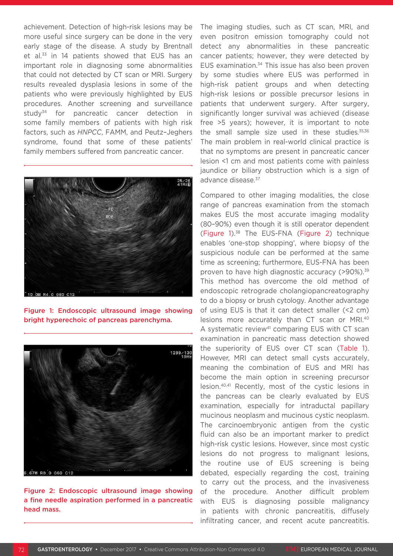achievement. Detection of high-risk lesions may be more useful since surgery can be done in the very early stage of the disease. A study by Brentnall et al.<sup>33</sup> in 14 patients showed that EUS has an important role in diagnosing some abnormalities that could not detected by CT scan or MRI. Surgery results revealed dysplasia lesions in some of the patients who were previously highlighted by EUS procedures. Another screening and surveillance study<sup>34</sup> for pancreatic cancer detection in some family members of patients with high risk factors, such as *HNPCC*, FAMM, and Peutz–Jeghers syndrome, found that some of these patients' family members suffered from pancreatic cancer.



Figure 1: Endoscopic ultrasound image showing bright hyperechoic of pancreas parenchyma.



Figure 2: Endoscopic ultrasound image showing a fine needle aspiration performed in a pancreatic head mass.

The imaging studies, such as CT scan, MRI, and even positron emission tomography could not detect any abnormalities in these pancreatic cancer patients; however, they were detected by EUS examination.<sup>34</sup> This issue has also been proven by some studies where EUS was performed in high-risk patient groups and when detecting high-risk lesions or possible precursor lesions in patients that underwent surgery. After surgery, significantly longer survival was achieved (disease free >5 years); however, it is important to note the small sample size used in these studies. $35,36$ The main problem in real-world clinical practice is that no symptoms are present in pancreatic cancer lesion <1 cm and most patients come with painless jaundice or biliary obstruction which is a sign of advance disease.37

Compared to other imaging modalities, the close range of pancreas examination from the stomach makes EUS the most accurate imaging modality (80–90%) even though it is still operator dependent (Figure 1).38 The EUS-FNA (Figure 2) technique enables 'one-stop shopping', where biopsy of the suspicious nodule can be performed at the same time as screening; furthermore, EUS-FNA has been proven to have high diagnostic accuracy (>90%).<sup>39</sup> This method has overcome the old method of endoscopic retrograde cholangiopancreatography to do a biopsy or brush cytology. Another advantage of using EUS is that it can detect smaller (<2 cm) lesions more accurately than CT scan or MRI.40 A systematic review<sup>41</sup> comparing EUS with CT scan examination in pancreatic mass detection showed the superiority of EUS over CT scan (Table 1). However, MRI can detect small cysts accurately, meaning the combination of EUS and MRI has become the main option in screening precursor lesion.40,41 Recently, most of the cystic lesions in the pancreas can be clearly evaluated by EUS examination, especially for intraductal papillary mucinous neoplasm and mucinous cystic neoplasm. The carcinoembryonic antigen from the cystic fluid can also be an important marker to predict high-risk cystic lesions. However, since most cystic lesions do not progress to malignant lesions, the routine use of EUS screening is being debated, especially regarding the cost, training to carry out the process, and the invasiveness of the procedure. Another difficult problem with EUS is diagnosing possible malignancy in patients with chronic pancreatitis, diffusely infiltrating cancer, and recent acute pancreatitis.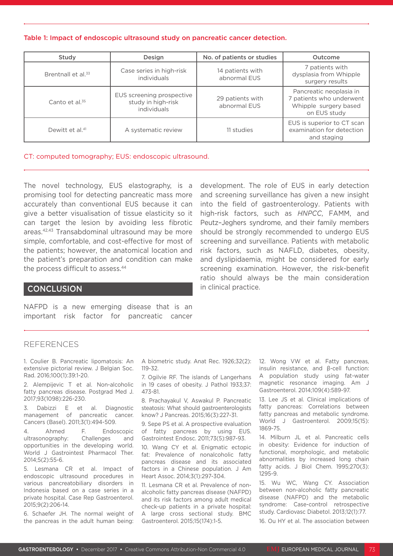#### Table 1: Impact of endoscopic ultrasound study on pancreatic cancer detection.

| Study                          | Design                                                         | No. of patients or studies       | Outcome                                                                                      |
|--------------------------------|----------------------------------------------------------------|----------------------------------|----------------------------------------------------------------------------------------------|
| Brentnall et al. <sup>33</sup> | Case series in high-risk<br><i>individuals</i>                 | 14 patients with<br>abnormal EUS | 7 patients with<br>dysplasia from Whipple<br>surgery results                                 |
| Canto et al. $35$              | EUS screening prospective<br>study in high-risk<br>individuals | 29 patients with<br>abnormal EUS | Pancreatic neoplasia in<br>7 patients who underwent<br>Whipple surgery based<br>on EUS study |
| Dewitt et al. <sup>41</sup>    | A systematic review                                            | 11 studies                       | EUS is superior to CT scan<br>examination for detection<br>and staging                       |

#### CT: computed tomography; EUS: endoscopic ultrasound.

The novel technology, EUS elastography, is a promising tool for detecting pancreatic mass more accurately than conventional EUS because it can give a better visualisation of tissue elasticity so it can target the lesion by avoiding less fibrotic areas.42,43 Transabdominal ultrasound may be more simple, comfortable, and cost-effective for most of the patients; however, the anatomical location and the patient's preparation and condition can make the process difficult to assess.<sup>44</sup>

#### into the field of gastroenterology. Patients with high-risk factors, such as *HNPCC*, FAMM, and Peutz–Jeghers syndrome, and their family members should be strongly recommended to undergo EUS screening and surveillance. Patients with metabolic risk factors, such as NAFLD, diabetes, obesity, and dyslipidaemia, might be considered for early screening examination. However, the risk-benefit ratio should always be the main consideration in clinical practice.

development. The role of EUS in early detection and screening surveillance has given a new insight

# **CONCLUSION**

NAFPD is a new emerging disease that is an important risk factor for pancreatic cancer

## REFERENCES

1. Coulier B. Pancreatic lipomatosis: An extensive pictorial review. J Belgian Soc. Rad. 2016;100(1):39:1-20.

2. Alempijevic T et al. Non-alcoholic fatty pancreas disease. Postgrad Med J. 2017;93(1098):226-230.

3. Dabizzi E et al. Diagnostic management of pancreatic cancer. Cancers (Basel). 2011;3(1):494-509.

4. Ahmed F. Endoscopic ultrasonography: Challenges and opportunities in the developing world. World J Gastrointest Pharmacol Ther. 2014;5(2):55-6.

5. Lesmana CR et al. Impact of endoscopic ultrasound procedures in various pancreatobiliary disorders in Indonesia based on a case series in a private hospital. Case Rep Gastroenterol. 2015;9(2):206-14.

6. Schaefer JH. The normal weight of the pancreas in the adult human being:

A biometric study. Anat Rec. 1926;32(2): 119-32.

7. Ogilvie RF. The islands of Langerhans in 19 cases of obesity. J Pathol 1933;37: 473-81.

8. Prachayakul V, Aswakul P. Pancreatic steatosis: What should gastroenterologists know? J Pancreas. 2015;16(3):227-31.

9. Sepe PS et al. A prospective evaluation of fatty pancreas by using EUS. Gastrointest Endosc. 2011;73(5):987-93.

10. Wang CY et al. Enigmatic ectopic fat: Prevalence of nonalcoholic fatty pancreas disease and its associated factors in a Chinese population. J Am Heart Assoc. 2014;3(1):297-304.

11. Lesmana CR et al. Prevalence of nonalcoholic fatty pancreas disease (NAFPD) and its risk factors among adult medical check-up patients in a private hospital: A large cross sectional study. BMC Gastroenterol. 2015;15(174):1-5.

12. Wong VW et al. Fatty pancreas, insulin resistance, and β-cell function: A population study using fat-water magnetic resonance imaging. Am J Gastroenterol. 2014;109(4):589-97.

13. Lee JS et al. Clinical implications of fatty pancreas: Correlations between fatty pancreas and metabolic syndrome. World J Gastroenterol. 2009;15(15): 1869-75.

14. Milburn JL et al. Pancreatic cells in obesity: Evidence for induction of functional, morphologic, and metabolic abnormalities by increased long chain fatty acids. J Biol Chem. 1995;270(3): 1295-9.

15. Wu WC, Wang CY. Association between non-alcoholic fatty pancreatic disease (NAFPD) and the metabolic syndrome: Case-control retrospective study. Cardiovasc Diabetol. 2013;12(1):77. 16. Ou HY et al. The association between